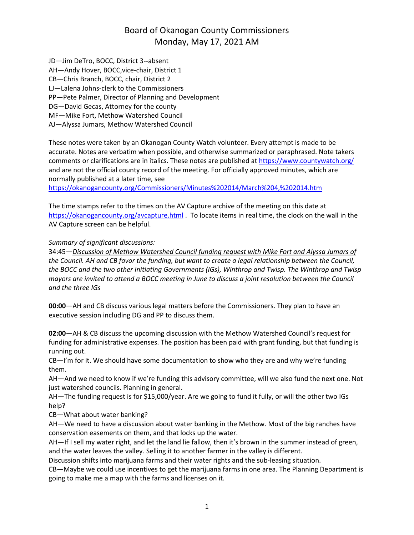JD—Jim DeTro, BOCC, District 3--absent AH—Andy Hover, BOCC,vice-chair, District 1 CB—Chris Branch, BOCC, chair, District 2 LJ—Lalena Johns-clerk to the Commissioners PP—Pete Palmer, Director of Planning and Development DG—David Gecas, Attorney for the county MF—Mike Fort, Methow Watershed Council AJ—Alyssa Jumars, Methow Watershed Council

These notes were taken by an Okanogan County Watch volunteer. Every attempt is made to be accurate. Notes are verbatim when possible, and otherwise summarized or paraphrased. Note takers comments or clarifications are in italics. These notes are published at <https://www.countywatch.org/> and are not the official county record of the meeting. For officially approved minutes, which are normally published at a later time, see

[https://okanogancounty.org/Commissioners/Minutes%202014/March%204,%202014.htm](https://okanogancounty.org/Commissioners/Minutes%2525202014/March%2525204,%2525202014.htm)

The time stamps refer to the times on the AV Capture archive of the meeting on this date at <https://okanogancounty.org/avcapture.html> . To locate items in real time, the clock on the wall in the AV Capture screen can be helpful.

#### *Summary of significant discussions:*

34:45—*Discussion of Methow Watershed Council funding request with Mike Fort and Alyssa Jumars of* the Council. AH and CB favor the funding, but want to create a legal relationship between the Council, *the BOCC and the two other Initiating Governments (IGs), Winthrop and Twisp. The Winthrop and Twisp* mayors are invited to attend a BOCC meeting in June to discuss a joint resolution between the Council *and the three IGs*

**00:00**—AH and CB discuss various legal matters before the Commissioners. They plan to have an executive session including DG and PP to discuss them.

**02:00**—AH & CB discuss the upcoming discussion with the Methow Watershed Council's request for funding for administrative expenses. The position has been paid with grant funding, but that funding is running out.

CB—I'm for it. We should have some documentation to show who they are and why we're funding them.

AH—And we need to know if we're funding this advisory committee, will we also fund the next one. Not just watershed councils. Planning in general.

AH—The funding request is for \$15,000/year. Are we going to fund it fully, or will the other two IGs help?

CB—What about water banking?

AH—We need to have a discussion about water banking in the Methow. Most of the big ranches have conservation easements on them, and that locks up the water.

AH—If I sell my water right, and let the land lie fallow, then it's brown in the summer instead of green, and the water leaves the valley. Selling it to another farmer in the valley is different.

Discussion shifts into marijuana farms and their water rights and the sub-leasing situation.

CB—Maybe we could use incentives to get the marijuana farms in one area. The Planning Department is going to make me a map with the farms and licenses on it.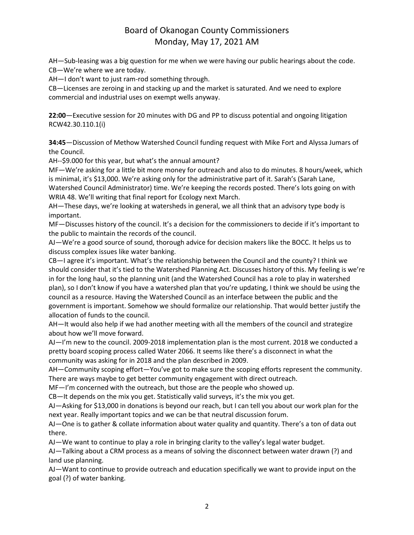AH—Sub-leasing was a big question for me when we were having our public hearings about the code. CB—We're where we are today.

AH—I don't want to just ram-rod something through.

CB—Licenses are zeroing in and stacking up and the market is saturated. And we need to explore commercial and industrial uses on exempt wells anyway.

**22:00**—Executive session for 20 minutes with DG and PP to discuss potential and ongoing litigation RCW42.30.110.1(i)

**34:45**—Discussion of Methow Watershed Council funding request with Mike Fort and Alyssa Jumars of the Council.

AH--\$9.000 for this year, but what's the annual amount?

MF—We're asking for a little bit more money for outreach and also to do minutes. 8 hours/week, which is minimal, it's \$13,000. We're asking only for the administrative part of it. Sarah's (Sarah Lane, Watershed Council Administrator) time. We're keeping the records posted. There's lots going on with WRIA 48. We'll writing that final report for Ecology next March.

AH—These days, we're looking at watersheds in general, we all think that an advisory type body is important.

MF—Discusses history of the council. It's a decision for the commissioners to decide if it's important to the public to maintain the records of the council.

AJ—We're a good source of sound, thorough advice for decision makers like the BOCC. It helps us to discuss complex issues like water banking.

CB—I agree it's important. What's the relationship between the Council and the county? I think we should consider that it's tied to the Watershed Planning Act. Discusses history of this. My feeling is we're in for the long haul, so the planning unit (and the Watershed Council has a role to play in watershed plan), so I don't know if you have a watershed plan that you're updating, I think we should be using the council as a resource. Having the Watershed Council as an interface between the public and the government is important. Somehow we should formalize our relationship. That would better justify the allocation of funds to the council.

AH—It would also help if we had another meeting with all the members of the council and strategize about how we'll move forward.

AJ—I'm new to the council. 2009-2018 implementation plan is the most current. 2018 we conducted a pretty board scoping process called Water 2066. It seems like there's a disconnect in what the community was asking for in 2018 and the plan described in 2009.

AH—Community scoping effort—You've got to make sure the scoping efforts represent the community. There are ways maybe to get better community engagement with direct outreach.

MF—I'm concerned with the outreach, but those are the people who showed up.

CB—It depends on the mix you get. Statistically valid surveys, it's the mix you get.

AJ—Asking for \$13,000 in donations is beyond our reach, but I can tell you about our work plan for the next year. Really important topics and we can be that neutral discussion forum.

AJ—One is to gather & collate information about water quality and quantity. There's a ton of data out there.

AJ—We want to continue to play a role in bringing clarity to the valley's legal water budget.

AJ—Talking about a CRM process as a means of solving the disconnect between water drawn (?) and land use planning.

AJ—Want to continue to provide outreach and education specifically we want to provide input on the goal (?) of water banking.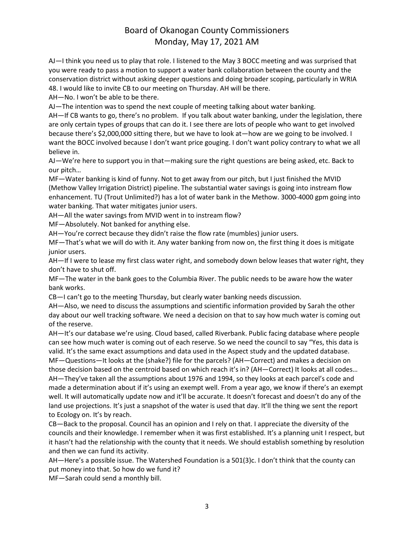AJ—I think you need us to play that role. I listened to the May 3 BOCC meeting and was surprised that you were ready to pass a motion to support a water bank collaboration between the county and the conservation district without asking deeper questions and doing broader scoping, particularly in WRIA 48. I would like to invite CB to our meeting on Thursday. AH will be there.

AH—No. I won't be able to be there.

AJ—The intention was to spend the next couple of meeting talking about water banking.

AH—If CB wants to go, there's no problem. If you talk about water banking, under the legislation, there are only certain types of groups that can do it. I see there are lots of people who want to get involved because there's \$2,000,000 sitting there, but we have to look at—how are we going to be involved. I want the BOCC involved because I don't want price gouging. I don't want policy contrary to what we all believe in.

AJ—We're here to support you in that—making sure the right questions are being asked, etc. Back to our pitch…

MF—Water banking is kind of funny. Not to get away from our pitch, but I just finished the MVID (Methow Valley Irrigation District) pipeline. The substantial water savings is going into instream flow enhancement. TU (Trout Unlimited?) has a lot of water bank in the Methow. 3000-4000 gpm going into water banking. That water mitigates junior users.

AH—All the water savings from MVID went in to instream flow?

MF—Absolutely. Not banked for anything else.

AH—You're correct because they didn't raise the flow rate (mumbles) junior users.

MF—That's what we will do with it. Any water banking from now on, the first thing it does is mitigate junior users.

AH—If I were to lease my first class water right, and somebody down below leases that water right, they don't have to shut off.

MF—The water in the bank goes to the Columbia River. The public needs to be aware how the water bank works.

CB—I can't go to the meeting Thursday, but clearly water banking needs discussion.

AH—Also, we need to discuss the assumptions and scientific information provided by Sarah the other day about our well tracking software. We need a decision on that to say how much water is coming out of the reserve.

AH—It's our database we're using. Cloud based, called Riverbank. Public facing database where people can see how much water is coming out of each reserve. So we need the council to say "Yes, this data is valid. It's the same exact assumptions and data used in the Aspect study and the updated database. MF—Questions—It looks at the (shake?) file for the parcels? (AH—Correct) and makes a decision on those decision based on the centroid based on which reach it's in? (AH—Correct) It looks at all codes… AH—They've taken all the assumptions about 1976 and 1994, so they looks at each parcel's code and made a determination about if it's using an exempt well. From a year ago, we know if there's an exempt well. It will automatically update now and it'll be accurate. It doesn't forecast and doesn't do any of the land use projections. It's just a snapshot of the water is used that day. It'll the thing we sent the report to Ecology on. It's by reach.

CB—Back to the proposal. Council has an opinion and I rely on that. I appreciate the diversity of the councils and their knowledge. I remember when it was first established. It's a planning unit I respect, but it hasn't had the relationship with the county that it needs. We should establish something by resolution and then we can fund its activity.

AH—Here's a possible issue. The Watershed Foundation is a 501(3)c. I don't think that the county can put money into that. So how do we fund it?

MF—Sarah could send a monthly bill.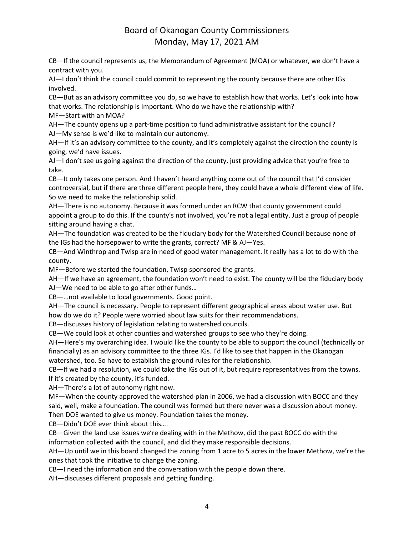CB—If the council represents us, the Memorandum of Agreement (MOA) or whatever, we don't have a contract with you.

AJ—I don't think the council could commit to representing the county because there are other IGs involved.

CB—But as an advisory committee you do, so we have to establish how that works. Let's look into how that works. The relationship is important. Who do we have the relationship with?

MF—Start with an MOA?

AH—The county opens up a part-time position to fund administrative assistant for the council? AJ—My sense is we'd like to maintain our autonomy.

AH—If it's an advisory committee to the county, and it's completely against the direction the county is going, we'd have issues.

AJ—I don't see us going against the direction of the county, just providing advice that you're free to take.

CB—It only takes one person. And I haven't heard anything come out of the council that I'd consider controversial, but if there are three different people here, they could have a whole different view of life. So we need to make the relationship solid.

AH—There is no autonomy. Because it was formed under an RCW that county government could appoint a group to do this. If the county's not involved, you're not a legal entity. Just a group of people sitting around having a chat.

AH—The foundation was created to be the fiduciary body for the Watershed Council because none of the IGs had the horsepower to write the grants, correct? MF & AJ—Yes.

CB—And Winthrop and Twisp are in need of good water management. It really has a lot to do with the county.

MF—Before we started the foundation, Twisp sponsored the grants.

AH—If we have an agreement, the foundation won't need to exist. The county will be the fiduciary body AJ—We need to be able to go after other funds…

CB—…not available to local governments. Good point.

AH—The council is necessary. People to represent different geographical areas about water use. But how do we do it? People were worried about law suits for their recommendations.

CB—discusses history of legislation relating to watershed councils.

CB—We could look at other counties and watershed groups to see who they're doing.

AH—Here's my overarching idea. I would like the county to be able to support the council (technically or financially) as an advisory committee to the three IGs. I'd like to see that happen in the Okanogan watershed, too. So have to establish the ground rules for the relationship.

CB—If we had a resolution, we could take the IGs out of it, but require representatives from the towns. If it's created by the county, it's funded.

AH—There's a lot of autonomy right now.

MF—When the county approved the watershed plan in 2006, we had a discussion with BOCC and they said, well, make a foundation. The council was formed but there never was a discussion about money. Then DOE wanted to give us money. Foundation takes the money.

CB—Didn't DOE ever think about this….

CB—Given the land use issues we're dealing with in the Methow, did the past BOCC do with the information collected with the council, and did they make responsible decisions.

AH—Up until we in this board changed the zoning from 1 acre to 5 acres in the lower Methow, we're the ones that took the initiative to change the zoning.

CB—I need the information and the conversation with the people down there.

AH—discusses different proposals and getting funding.